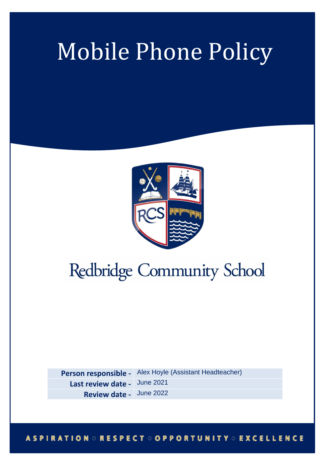# Mobile Phone Policy



# Redbridge Community School

**Person responsible -** Alex Hoyle (Assistant Headteacher) **Last review date -** June 2021 **Review date -** June 2022

# **ASPIRATION ORESPECT OOPPORTUNITY OEXCELLENCE**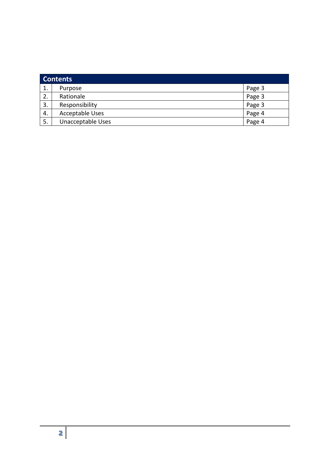| <b>Contents</b> |                        |        |
|-----------------|------------------------|--------|
| 1.              | Purpose                | Page 3 |
| 2.              | Rationale              | Page 3 |
| 3.              | Responsibility         | Page 3 |
| 4.              | <b>Acceptable Uses</b> | Page 4 |
| 5.              | Unacceptable Uses      | Page 4 |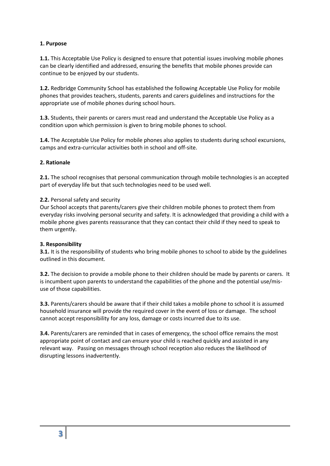# **1. Purpose**

**1.1.** This Acceptable Use Policy is designed to ensure that potential issues involving mobile phones can be clearly identified and addressed, ensuring the benefits that mobile phones provide can continue to be enjoyed by our students.

**1.2.** Redbridge Community School has established the following Acceptable Use Policy for mobile phones that provides teachers, students, parents and carers guidelines and instructions for the appropriate use of mobile phones during school hours.

**1.3.** Students, their parents or carers must read and understand the Acceptable Use Policy as a condition upon which permission is given to bring mobile phones to school.

**1.4.** The Acceptable Use Policy for mobile phones also applies to students during school excursions, camps and extra-curricular activities both in school and off-site.

#### **2. Rationale**

**2.1.** The school recognises that personal communication through mobile technologies is an accepted part of everyday life but that such technologies need to be used well.

#### **2.2.** Personal safety and security

Our School accepts that parents/carers give their children mobile phones to protect them from everyday risks involving personal security and safety. It is acknowledged that providing a child with a mobile phone gives parents reassurance that they can contact their child if they need to speak to them urgently.

#### **3. Responsibility**

**3.1.** It is the responsibility of students who bring mobile phones to school to abide by the guidelines outlined in this document.

**3.2.** The decision to provide a mobile phone to their children should be made by parents or carers. It is incumbent upon parents to understand the capabilities of the phone and the potential use/misuse of those capabilities.

**3.3.** Parents/carers should be aware that if their child takes a mobile phone to school it is assumed household insurance will provide the required cover in the event of loss or damage. The school cannot accept responsibility for any loss, damage or costs incurred due to its use.

**3.4.** Parents/carers are reminded that in cases of emergency, the school office remains the most appropriate point of contact and can ensure your child is reached quickly and assisted in any relevant way. Passing on messages through school reception also reduces the likelihood of disrupting lessons inadvertently.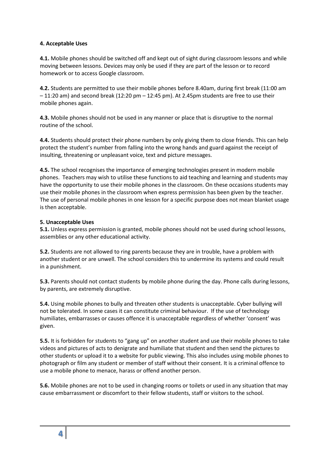#### **4. Acceptable Uses**

**4.1.** Mobile phones should be switched off and kept out of sight during classroom lessons and while moving between lessons. Devices may only be used if they are part of the lesson or to record homework or to access Google classroom.

**4.2.** Students are permitted to use their mobile phones before 8.40am, during first break (11:00 am – 11:20 am) and second break (12:20 pm – 12:45 pm). At 2.45pm students are free to use their mobile phones again.

**4.3.** Mobile phones should not be used in any manner or place that is disruptive to the normal routine of the school.

**4.4.** Students should protect their phone numbers by only giving them to close friends. This can help protect the student's number from falling into the wrong hands and guard against the receipt of insulting, threatening or unpleasant voice, text and picture messages.

**4.5.** The school recognises the importance of emerging technologies present in modern mobile phones. Teachers may wish to utilise these functions to aid teaching and learning and students may have the opportunity to use their mobile phones in the classroom. On these occasions students may use their mobile phones in the classroom when express permission has been given by the teacher. The use of personal mobile phones in one lesson for a specific purpose does not mean blanket usage is then acceptable.

#### **5. Unacceptable Uses**

**5.1.** Unless express permission is granted, mobile phones should not be used during school lessons, assemblies or any other educational activity.

**5.2.** Students are not allowed to ring parents because they are in trouble, have a problem with another student or are unwell. The school considers this to undermine its systems and could result in a punishment.

**5.3.** Parents should not contact students by mobile phone during the day. Phone calls during lessons, by parents, are extremely disruptive.

**5.4.** Using mobile phones to bully and threaten other students is unacceptable. Cyber bullying will not be tolerated. In some cases it can constitute criminal behaviour. If the use of technology humiliates, embarrasses or causes offence it is unacceptable regardless of whether 'consent' was given.

**5.5.** It is forbidden for students to "gang up" on another student and use their mobile phones to take videos and pictures of acts to denigrate and humiliate that student and then send the pictures to other students or upload it to a website for public viewing. This also includes using mobile phones to photograph or film any student or member of staff without their consent. It is a criminal offence to use a mobile phone to menace, harass or offend another person.

**5.6.** Mobile phones are not to be used in changing rooms or toilets or used in any situation that may cause embarrassment or discomfort to their fellow students, staff or visitors to the school.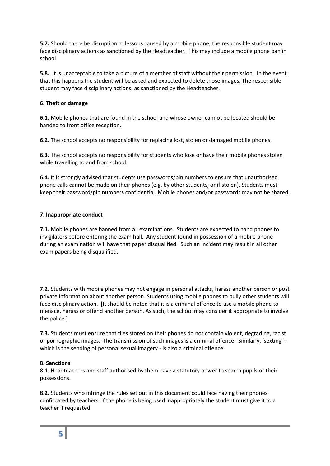**5.7.** Should there be disruption to lessons caused by a mobile phone; the responsible student may face disciplinary actions as sanctioned by the Headteacher. This may include a mobile phone ban in school.

**5.8.** .It is unacceptable to take a picture of a member of staff without their permission. In the event that this happens the student will be asked and expected to delete those images. The responsible student may face disciplinary actions, as sanctioned by the Headteacher.

# **6. Theft or damage**

**6.1.** Mobile phones that are found in the school and whose owner cannot be located should be handed to front office reception.

**6.2.** The school accepts no responsibility for replacing lost, stolen or damaged mobile phones.

**6.3.** The school accepts no responsibility for students who lose or have their mobile phones stolen while travelling to and from school.

**6.4.** It is strongly advised that students use passwords/pin numbers to ensure that unauthorised phone calls cannot be made on their phones (e.g. by other students, or if stolen). Students must keep their password/pin numbers confidential. Mobile phones and/or passwords may not be shared.

# **7. Inappropriate conduct**

**7.1.** Mobile phones are banned from all examinations. Students are expected to hand phones to invigilators before entering the exam hall. Any student found in possession of a mobile phone during an examination will have that paper disqualified. Such an incident may result in all other exam papers being disqualified.

**7.2.** Students with mobile phones may not engage in personal attacks, harass another person or post private information about another person. Students using mobile phones to bully other students will face disciplinary action. [It should be noted that it is a criminal offence to use a mobile phone to menace, harass or offend another person. As such, the school may consider it appropriate to involve the police.]

**7.3.** Students must ensure that files stored on their phones do not contain violent, degrading, racist or pornographic images. The transmission of such images is a criminal offence. Similarly, 'sexting' – which is the sending of personal sexual imagery - is also a criminal offence.

#### **8. Sanctions**

**8.1.** Headteachers and staff authorised by them have a statutory power to search pupils or their possessions.

**8.2.** Students who infringe the rules set out in this document could face having their phones confiscated by teachers. If the phone is being used inappropriately the student must give it to a teacher if requested.